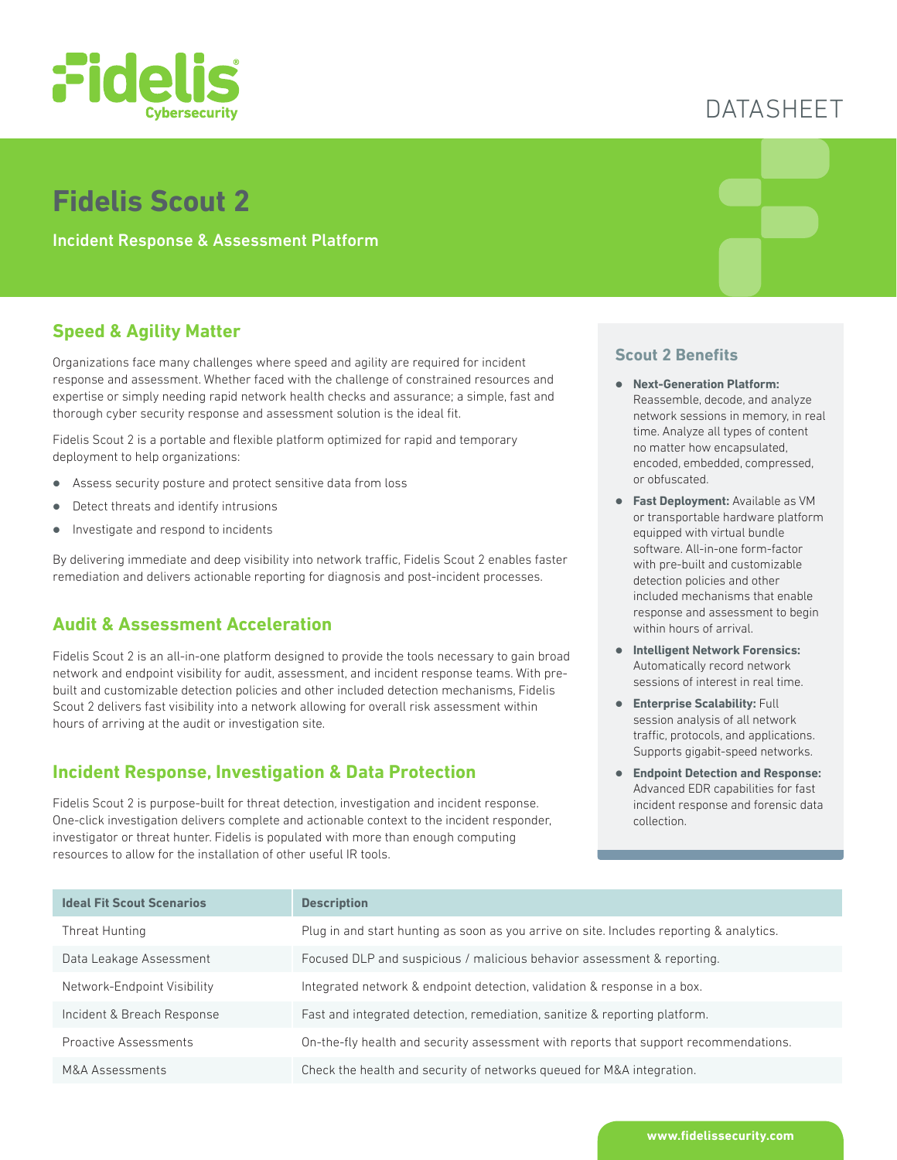

## **Fidelis Scout 2**

Incident Response & Assessment Platform

### **Speed & Agility Matter**

Organizations face many challenges where speed and agility are required for incident response and assessment. Whether faced with the challenge of constrained resources and expertise or simply needing rapid network health checks and assurance; a simple, fast and thorough cyber security response and assessment solution is the ideal fit.

Fidelis Scout 2 is a portable and flexible platform optimized for rapid and temporary deployment to help organizations:

- **Assess security posture and protect sensitive data from loss**
- Detect threats and identify intrusions
- Investigate and respond to incidents

By delivering immediate and deep visibility into network traffic, Fidelis Scout 2 enables faster remediation and delivers actionable reporting for diagnosis and post-incident processes.

#### **Audit & Assessment Acceleration**

Fidelis Scout 2 is an all-in-one platform designed to provide the tools necessary to gain broad network and endpoint visibility for audit, assessment, and incident response teams. With prebuilt and customizable detection policies and other included detection mechanisms, Fidelis Scout 2 delivers fast visibility into a network allowing for overall risk assessment within hours of arriving at the audit or investigation site.

#### **Incident Response, Investigation & Data Protection**

Fidelis Scout 2 is purpose-built for threat detection, investigation and incident response. One-click investigation delivers complete and actionable context to the incident responder, investigator or threat hunter. Fidelis is populated with more than enough computing resources to allow for the installation of other useful IR tools.

# DATASHEET

#### **Scout 2 Benefits**

- z **Next-Generation Platform:**  Reassemble, decode, and analyze network sessions in memory, in real time. Analyze all types of content no matter how encapsulated, encoded, embedded, compressed, or obfuscated.
- **Fast Deployment:** Available as VM or transportable hardware platform equipped with virtual bundle software. All-in-one form-factor with pre-built and customizable detection policies and other included mechanisms that enable response and assessment to begin within hours of arrival.
- **Intelligent Network Forensics:** Automatically record network sessions of interest in real time.
- **Enterprise Scalability: Full** session analysis of all network traffic, protocols, and applications. Supports gigabit-speed networks.
- **Endpoint Detection and Response:** Advanced EDR capabilities for fast incident response and forensic data collection.

| <b>Ideal Fit Scout Scenarios</b> | <b>Description</b>                                                                       |
|----------------------------------|------------------------------------------------------------------------------------------|
| Threat Hunting                   | Plug in and start hunting as soon as you arrive on site. Includes reporting & analytics. |
| Data Leakage Assessment          | Focused DLP and suspicious / malicious behavior assessment & reporting.                  |
| Network-Endpoint Visibility      | Integrated network & endpoint detection, validation & response in a box.                 |
| Incident & Breach Response       | Fast and integrated detection, remediation, sanitize & reporting platform.               |
| <b>Proactive Assessments</b>     | On-the-fly health and security assessment with reports that support recommendations.     |
| M&A Assessments                  | Check the health and security of networks queued for M&A integration.                    |